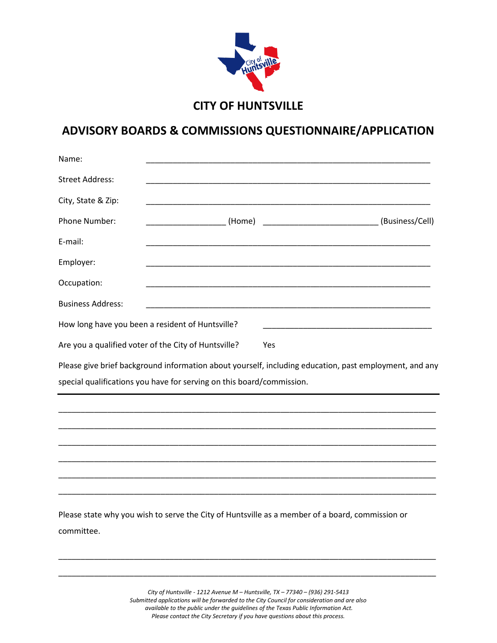

## **ADVISORY BOARDS & COMMISSIONS QUESTIONNAIRE/APPLICATION**

| Name:                    |                                                                                                        |  |
|--------------------------|--------------------------------------------------------------------------------------------------------|--|
| <b>Street Address:</b>   |                                                                                                        |  |
| City, State & Zip:       |                                                                                                        |  |
| Phone Number:            |                                                                                                        |  |
| E-mail:                  |                                                                                                        |  |
| Employer:                |                                                                                                        |  |
| Occupation:              |                                                                                                        |  |
| <b>Business Address:</b> |                                                                                                        |  |
|                          | How long have you been a resident of Huntsville?                                                       |  |
|                          | Are you a qualified voter of the City of Huntsville?<br>Yes                                            |  |
|                          | Please give brief background information about yourself, including education, past employment, and any |  |
|                          | special qualifications you have for serving on this board/commission.                                  |  |
|                          |                                                                                                        |  |
|                          |                                                                                                        |  |
|                          |                                                                                                        |  |
|                          |                                                                                                        |  |
|                          |                                                                                                        |  |
|                          |                                                                                                        |  |
| committee.               | Please state why you wish to serve the City of Huntsville as a member of a board, commission or        |  |

*City of Huntsville - 1212 Avenue M – Huntsville, TX – 77340 – (936) 291-5413 Submitted applications will be forwarded to the City Council for consideration and are also available to the public under the guidelines of the Texas Public Information Act. Please contact the City Secretary if you have questions about this process.*

\_\_\_\_\_\_\_\_\_\_\_\_\_\_\_\_\_\_\_\_\_\_\_\_\_\_\_\_\_\_\_\_\_\_\_\_\_\_\_\_\_\_\_\_\_\_\_\_\_\_\_\_\_\_\_\_\_\_\_\_\_\_\_\_\_\_\_\_\_\_\_\_\_\_\_\_\_\_\_\_\_\_\_\_\_

\_\_\_\_\_\_\_\_\_\_\_\_\_\_\_\_\_\_\_\_\_\_\_\_\_\_\_\_\_\_\_\_\_\_\_\_\_\_\_\_\_\_\_\_\_\_\_\_\_\_\_\_\_\_\_\_\_\_\_\_\_\_\_\_\_\_\_\_\_\_\_\_\_\_\_\_\_\_\_\_\_\_\_\_\_